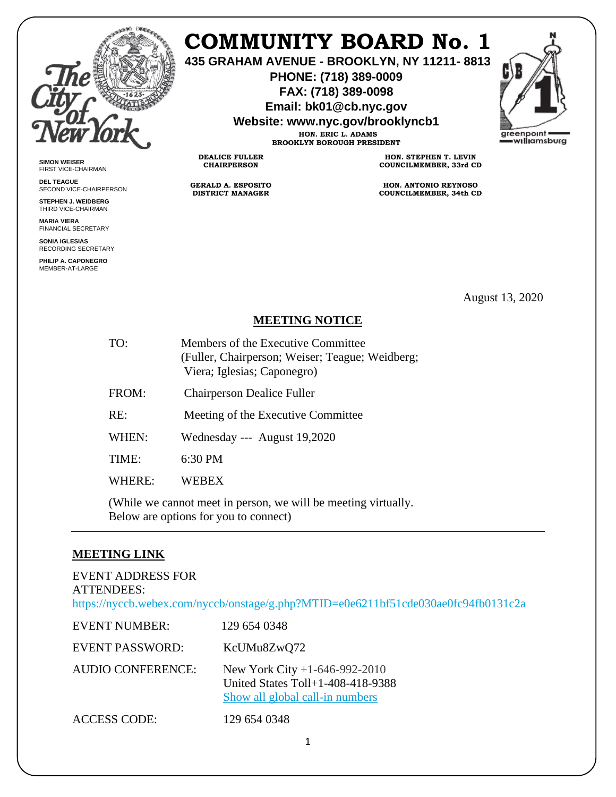

**SIMON WEISER** FIRST VICE-CHAIRMAN **DEL TEAGUE**

SECOND VICE-CHAIRPERSON **STEPHEN J. WEIDBERG** THIRD VICE-CHAIRMAN **MARIA VIERA** FINANCIAL SECRETARY **SONIA IGLESIAS** RECORDING SECRETARY **PHILIP A. CAPONEGRO** MEMBER-AT-LARGE

# **COMMUNITY BOARD No. 1**

**435 GRAHAM AVENUE - BROOKLYN, NY 11211- 8813**

**PHONE: (718) 389-0009 FAX: (718) 389-0098**

**Email: bk01@cb.nyc.gov**

**Website: www.nyc.gov/brooklyncb1**

**HON. ERIC L. ADAMS BROOKLYN BOROUGH PRESIDENT**

**DEALICE FULLER CHAIRPERSON**

**GERALD A. ESPOSITO DISTRICT MANAGER**

**HON. STEPHEN T. LEVIN COUNCILMEMBER, 33rd CD**

**HON. ANTONIO REYNOSO COUNCILMEMBER, 34th CD**

August 13, 2020

## **MEETING NOTICE**

- TO: Members of the Executive Committee (Fuller, Chairperson; Weiser; Teague; Weidberg; Viera; Iglesias; Caponegro)
- FROM: Chairperson Dealice Fuller
- RE: Meeting of the Executive Committee
- WHEN: Wednesday --- August 19,2020

TIME: 6:30 PM

WHERE: WEBEX

(While we cannot meet in person, we will be meeting virtually. Below are options for you to connect)

#### **MEETING LINK**

#### EVENT ADDRESS FOR ATTENDEES: <https://nyccb.webex.com/nyccb/onstage/g.php?MTID=e0e6211bf51cde030ae0fc94fb0131c2a>

| <b>EVENT NUMBER:</b>   | 129 654 0348                                                                                              |
|------------------------|-----------------------------------------------------------------------------------------------------------|
| <b>EVENT PASSWORD:</b> | KcUMu8ZwQ72                                                                                               |
| AUDIO CONFERENCE:      | New York City $+1-646-992-2010$<br>United States $Toll+1-408-418-9388$<br>Show all global call-in numbers |
| <b>ACCESS CODE:</b>    | 129 654 0348                                                                                              |